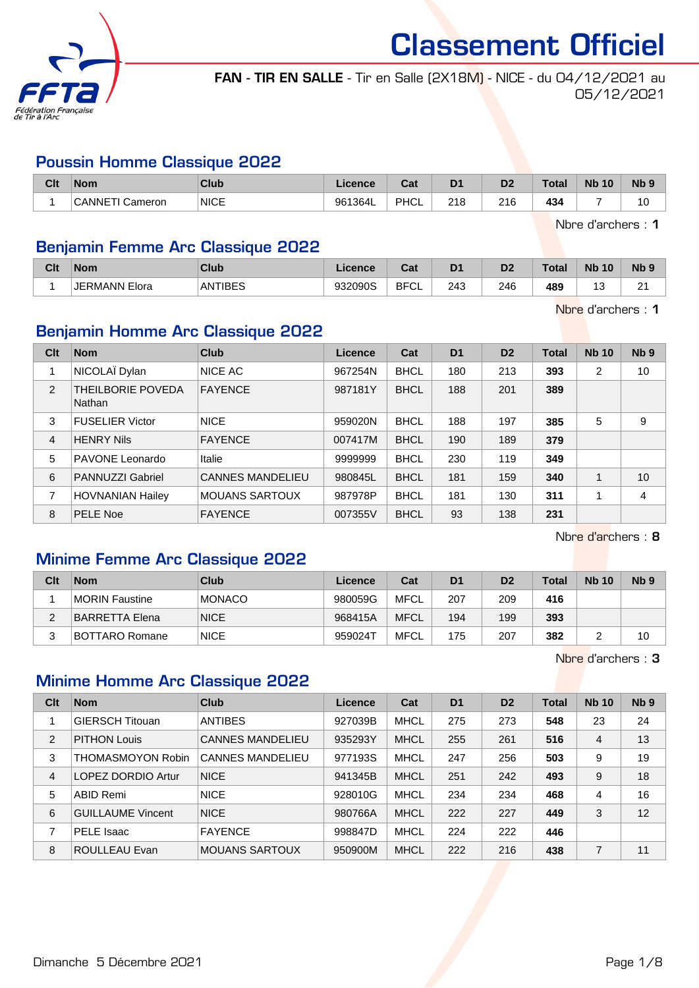

FAN - TIR EN SALLE - Tir en Salle (2X18M) - NICE - du 04/12/2021 au 05/12/2021

## Poussin Homme Classique 2022

| Clt | <b>Nom</b>      | Club        | Licence | $\sim$<br>uai | D <sub>1</sub> | D <sub>2</sub> | <b>Total</b> | <b>N<sub>b</sub></b><br>10 | N <sub>b</sub> <sub>9</sub> |
|-----|-----------------|-------------|---------|---------------|----------------|----------------|--------------|----------------------------|-----------------------------|
|     | CANNETI Cameron | <b>NICE</b> | 961364L | PHCL          | 218            | 216            | 434          |                            | 10                          |

Nbre d'archers : 1

## Benjamin Femme Arc Classique 2022

| Clt | Nom              | <b>Club</b> | .icence | $R_{\rm{min}}$<br>ua | D <sub>1</sub> | D2  | Total | <b>N<sub>b</sub></b><br>10 | <b>Nb</b>   |
|-----|------------------|-------------|---------|----------------------|----------------|-----|-------|----------------------------|-------------|
|     | JERMANN<br>Elora | ANTIBES     | 932090S | <b>BFCI</b><br>◡∟    | 243            | 246 | 489   | $\sim$<br>u                | $\sim$<br>- |

Nbre d'archers : 1

# Benjamin Homme Arc Classique 2022

| Clt            | <b>Nom</b>                         | Club                    | Licence | Cat         | D <sub>1</sub> | D <sub>2</sub> | <b>Total</b> | <b>Nb 10</b> | N <sub>b</sub> <sub>9</sub> |
|----------------|------------------------------------|-------------------------|---------|-------------|----------------|----------------|--------------|--------------|-----------------------------|
|                | NICOLAÏ Dylan                      | NICE AC                 | 967254N | <b>BHCL</b> | 180            | 213            | 393          | 2            | 10                          |
| 2              | THEILBORIE POVEDA<br><b>Nathan</b> | <b>FAYENCE</b>          | 987181Y | <b>BHCL</b> | 188            | 201            | 389          |              |                             |
| 3              | <b>FUSELIER Victor</b>             | <b>NICE</b>             | 959020N | <b>BHCL</b> | 188            | 197            | 385          | 5            | 9                           |
| $\overline{4}$ | <b>HENRY Nils</b>                  | <b>FAYENCE</b>          | 007417M | <b>BHCL</b> | 190            | 189            | 379          |              |                             |
| 5              | PAVONE Leonardo                    | Italie                  | 9999999 | <b>BHCL</b> | 230            | 119            | 349          |              |                             |
| 6              | <b>PANNUZZI Gabriel</b>            | <b>CANNES MANDELIEU</b> | 980845L | <b>BHCL</b> | 181            | 159            | 340          |              | 10                          |
| 7              | <b>HOVNANIAN Hailey</b>            | <b>MOUANS SARTOUX</b>   | 987978P | <b>BHCL</b> | 181            | 130            | 311          |              | 4                           |
| 8              | PELE Noe                           | <b>FAYENCE</b>          | 007355V | <b>BHCL</b> | 93             | 138            | 231          |              |                             |

Nbre d'archers : 8

# Minime Femme Arc Classique 2022

| Clt | <b>Nom</b>             | Club          | Licence | Cat         | D <sub>1</sub> | D <sub>2</sub> | Total | <b>Nb 10</b> | N <sub>b</sub> <sub>9</sub> |
|-----|------------------------|---------------|---------|-------------|----------------|----------------|-------|--------------|-----------------------------|
|     | <b>IMORIN Faustine</b> | <b>MONACO</b> | 980059G | MFCL        | 207            | 209            | 416   |              |                             |
| ົ   | BARRETTA Elena         | <b>NICE</b>   | 968415A | <b>MFCL</b> | 194            | 199            | 393   |              |                             |
|     | BOTTARO Romane         | <b>NICE</b>   | 959024T | <b>MFCL</b> | 175            | 207            | 382   |              | 10                          |

Nbre d'archers : 3

# Minime Homme Arc Classique 2022

| Clt            | <b>Nom</b>               | Club                    | Licence | Cat         | D <sub>1</sub> | D <sub>2</sub> | Total | <b>Nb 10</b> | Nb <sub>9</sub> |
|----------------|--------------------------|-------------------------|---------|-------------|----------------|----------------|-------|--------------|-----------------|
|                | <b>GIERSCH Titouan</b>   | <b>ANTIBES</b>          | 927039B | <b>MHCL</b> | 275            | 273            | 548   | 23           | 24              |
| $\overline{2}$ | <b>PITHON Louis</b>      | <b>CANNES MANDELIEU</b> | 935293Y | <b>MHCL</b> | 255            | 261            | 516   | 4            | 13              |
| 3              | <b>THOMASMOYON Robin</b> | <b>CANNES MANDELIEU</b> | 977193S | <b>MHCL</b> | 247            | 256            | 503   | 9            | 19              |
| $\overline{4}$ | LOPEZ DORDIO Artur       | <b>NICE</b>             | 941345B | <b>MHCL</b> | 251            | 242            | 493   | 9            | 18              |
| 5              | ABID Remi                | <b>NICE</b>             | 928010G | <b>MHCL</b> | 234            | 234            | 468   | 4            | 16              |
| 6              | <b>GUILLAUME Vincent</b> | <b>NICE</b>             | 980766A | <b>MHCL</b> | 222            | 227            | 449   | 3            | 12              |
| 7              | PELE Isaac               | <b>FAYENCE</b>          | 998847D | <b>MHCL</b> | 224            | 222            | 446   |              |                 |
| 8              | <b>ROULLEAU Evan</b>     | <b>MOUANS SARTOUX</b>   | 950900M | <b>MHCL</b> | 222            | 216            | 438   | 7            | 11              |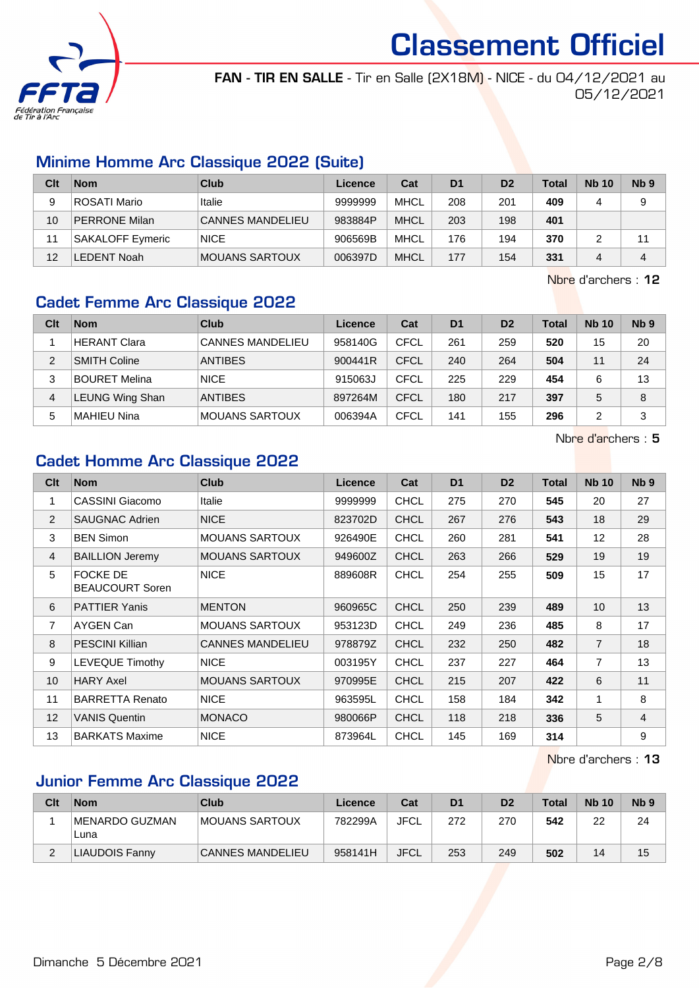

FAN - TIR EN SALLE - Tir en Salle (2X18M) - NICE - du 04/12/2021 au 05/12/2021

# Minime Homme Arc Classique 2022 (Suite)

| Clt | <b>Nom</b>              | Club                    | Licence | Cat         | D <sub>1</sub> | D <sub>2</sub> | Total | <b>Nb 10</b> | Nb <sub>9</sub> |
|-----|-------------------------|-------------------------|---------|-------------|----------------|----------------|-------|--------------|-----------------|
| 9   | ROSATI Mario            | Italie                  | 9999999 | MHCL        | 208            | 201            | 409   |              | 9               |
| 10  | <b>PERRONE Milan</b>    | <b>CANNES MANDELIEU</b> | 983884P | <b>MHCL</b> | 203            | 198            | 401   |              |                 |
| 11  | <b>SAKALOFF Eymeric</b> | <b>NICE</b>             | 906569B | <b>MHCL</b> | 176            | 194            | 370   |              | 11              |
| 12  | _EDENT Noah             | <b>MOUANS SARTOUX</b>   | 006397D | <b>MHCL</b> | 177            | 154            | 331   |              | 4               |

Nbre d'archers : 12

# Cadet Femme Arc Classique 2022

| Clt            | <b>Nom</b>           | Club                    | Licence | Cat         | D <sub>1</sub> | D <sub>2</sub> | <b>Total</b> | <b>Nb 10</b> | Nb <sub>9</sub> |
|----------------|----------------------|-------------------------|---------|-------------|----------------|----------------|--------------|--------------|-----------------|
|                | <b>HERANT Clara</b>  | <b>CANNES MANDELIEU</b> | 958140G | CFCL        | 261            | 259            | 520          | 15           | 20              |
| $\mathfrak{p}$ | <b>SMITH Coline</b>  | <b>ANTIBES</b>          | 900441R | <b>CFCL</b> | 240            | 264            | 504          | 11           | 24              |
| 3              | <b>BOURET Melina</b> | <b>NICE</b>             | 915063J | CFCL        | 225            | 229            | 454          | 6            | 13              |
| 4              | LEUNG Wing Shan      | <b>ANTIBES</b>          | 897264M | CFCL        | 180            | 217            | 397          | 5            | 8               |
| 5              | <b>MAHIEU Nina</b>   | <b>MOUANS SARTOUX</b>   | 006394A | CFCL        | 141            | 155            | 296          | 2            | 3               |

Nbre d'archers : 5

# Cadet Homme Arc Classique 2022

| C <sub>lt</sub> | <b>Nom</b>                                | <b>Club</b>             | <b>Licence</b> | Cat         | D <sub>1</sub> | D <sub>2</sub> | <b>Total</b> | <b>Nb 10</b>   | N <sub>b</sub> <sub>9</sub> |
|-----------------|-------------------------------------------|-------------------------|----------------|-------------|----------------|----------------|--------------|----------------|-----------------------------|
| 1               | CASSINI Giacomo                           | Italie                  | 9999999        | <b>CHCL</b> | 275            | 270            | 545          | 20             | 27                          |
| 2               | <b>SAUGNAC Adrien</b>                     | <b>NICE</b>             | 823702D        | <b>CHCL</b> | 267            | 276            | 543          | 18             | 29                          |
| 3               | <b>BEN Simon</b>                          | <b>MOUANS SARTOUX</b>   | 926490E        | <b>CHCL</b> | 260            | 281            | 541          | 12             | 28                          |
| 4               | <b>BAILLION Jeremy</b>                    | <b>MOUANS SARTOUX</b>   | 949600Z        | <b>CHCL</b> | 263            | 266            | 529          | 19             | 19                          |
| 5               | <b>FOCKE DE</b><br><b>BEAUCOURT Soren</b> | <b>NICE</b>             | 889608R        | <b>CHCL</b> | 254            | 255            | 509          | 15             | 17                          |
| 6               | <b>PATTIER Yanis</b>                      | <b>MENTON</b>           | 960965C        | <b>CHCL</b> | 250            | 239            | 489          | 10             | 13                          |
| 7               | AYGEN Can                                 | <b>MOUANS SARTOUX</b>   | 953123D        | <b>CHCL</b> | 249            | 236            | 485          | 8              | 17                          |
| 8               | <b>PESCINI Killian</b>                    | <b>CANNES MANDELIEU</b> | 978879Z        | <b>CHCL</b> | 232            | 250            | 482          | $\overline{7}$ | 18                          |
| 9               | LEVEQUE Timothy                           | <b>NICE</b>             | 003195Y        | <b>CHCL</b> | 237            | 227            | 464          | $\overline{7}$ | 13                          |
| 10              | <b>HARY Axel</b>                          | <b>MOUANS SARTOUX</b>   | 970995E        | <b>CHCL</b> | 215            | 207            | 422          | 6              | 11                          |
| 11              | <b>BARRETTA Renato</b>                    | <b>NICE</b>             | 963595L        | <b>CHCL</b> | 158            | 184            | 342          | $\mathbf{1}$   | 8                           |
| 12 <sup>2</sup> | <b>VANIS Quentin</b>                      | <b>MONACO</b>           | 980066P        | <b>CHCL</b> | 118            | 218            | 336          | 5              | $\overline{4}$              |
| 13              | <b>BARKATS Maxime</b>                     | <b>NICE</b>             | 873964L        | <b>CHCL</b> | 145            | 169            | 314          |                | 9                           |

Nbre d'archers : 13

# Junior Femme Arc Classique 2022

| Clt | <b>Nom</b>             | Club                    | Licence | Cat         | D <sub>1</sub> | D <sub>2</sub> | <b>Total</b> | <b>Nb 10</b> | N <sub>b</sub> <sub>9</sub> |
|-----|------------------------|-------------------------|---------|-------------|----------------|----------------|--------------|--------------|-----------------------------|
|     | MENARDO GUZMAN<br>Luna | MOUANS SARTOUX          | 782299A | <b>JFCL</b> | 272            | 270            | 542          | 22           | 24                          |
|     | LIAUDOIS Fanny         | <b>CANNES MANDELIEU</b> | 958141H | JFCL        | 253            | 249            | 502          | 14           | 15                          |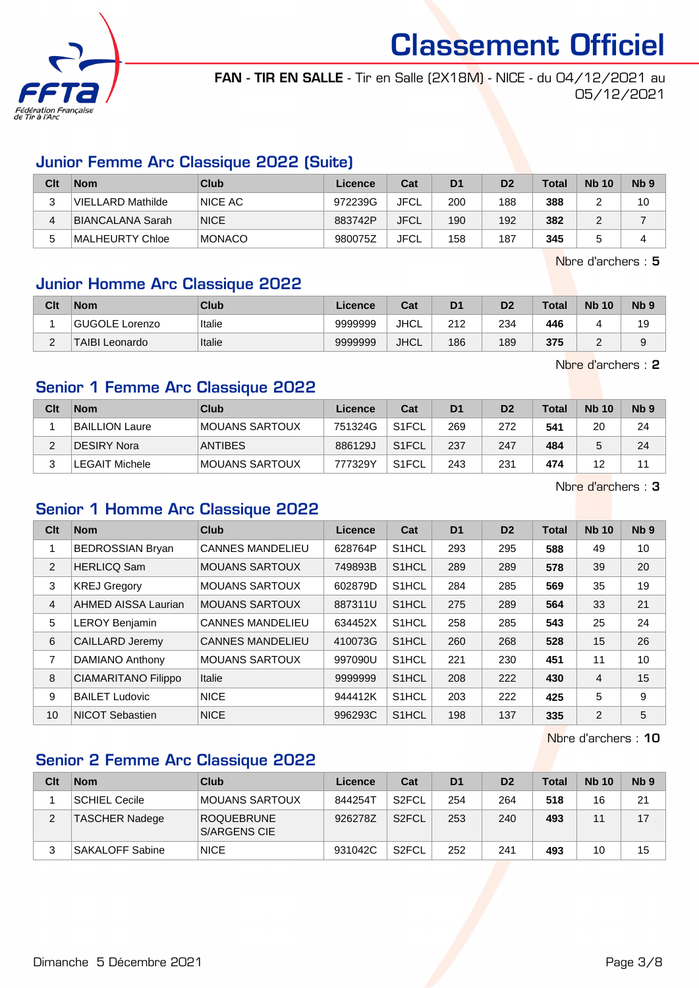

FAN - TIR EN SALLE - Tir en Salle (2X18M) - NICE - du 04/12/2021 au 05/12/2021

## Junior Femme Arc Classique 2022 (Suite)

| Clt | <b>Nom</b>        | Club          | Licence | Cat         | D <sub>1</sub> | D <sub>2</sub> | Total | <b>Nb 10</b> | N <sub>b</sub> <sub>9</sub> |
|-----|-------------------|---------------|---------|-------------|----------------|----------------|-------|--------------|-----------------------------|
|     | VIELLARD Mathilde | NICE AC       | 972239G | <b>JFCL</b> | 200            | 188            | 388   |              | 10                          |
|     | BIANCALANA Sarah  | <b>NICE</b>   | 883742P | <b>JFCL</b> | 190            | 192            | 382   |              |                             |
| 5   | ∣MALHEURTY Chloe  | <b>MONACO</b> | 980075Z | <b>JFCL</b> | 158            | 187            | 345   |              |                             |

Nbre d'archers : 5

# Junior Homme Arc Classique 2022

| Clt    | <b>Nom</b>            | Club   | Licence | Cat         | D <sub>1</sub> | D <sub>2</sub> | Total | <b>Nb 10</b> | Nb <sub>9</sub> |
|--------|-----------------------|--------|---------|-------------|----------------|----------------|-------|--------------|-----------------|
|        | GUGOLE Lorenzo        | Italie | 9999999 | <b>JHCL</b> | 212            | 234            | 446   |              | 19              |
| $\sim$ | <b>TAIBI Leonardo</b> | Italie | 9999999 | JHCL        | 186            | 189            | 375   | -            |                 |

Nbre d'archers : 2

# Senior 1 Femme Arc Classique 2022

| Clt | <b>Nom</b>            | Club           | Licence | Cat                | D <sub>1</sub> | D <sub>2</sub> | <b>Total</b> | <b>Nb 10</b> | N <sub>b</sub> <sub>9</sub> |
|-----|-----------------------|----------------|---------|--------------------|----------------|----------------|--------------|--------------|-----------------------------|
|     | <b>BAILLION Laure</b> | MOUANS SARTOUX | 751324G | S <sub>1</sub> FCL | 269            | 272            | 541          | 20           | 24                          |
|     | DESIRY Nora           | <b>ANTIBES</b> | 886129J | S <sub>1</sub> FCL | 237            | 247            | 484          |              | 24                          |
|     | <b>LEGAIT Michele</b> | MOUANS SARTOUX | 777329Y | S <sub>1</sub> FCL | 243            | 231            | 474          | 12           | 44                          |

Nbre d'archers : 3

# Senior 1 Homme Arc Classique 2022

| Clt | <b>Nom</b>                 | <b>Club</b>             | Licence | Cat                | D <sub>1</sub> | D <sub>2</sub> | <b>Total</b> | <b>Nb 10</b>   | Nb <sub>9</sub> |
|-----|----------------------------|-------------------------|---------|--------------------|----------------|----------------|--------------|----------------|-----------------|
| 1   | <b>BEDROSSIAN Bryan</b>    | <b>CANNES MANDELIEU</b> | 628764P | S1HCL              | 293            | 295            | 588          | 49             | 10              |
| 2   | <b>HERLICQ Sam</b>         | <b>MOUANS SARTOUX</b>   | 749893B | S1HCL              | 289            | 289            | 578          | 39             | 20              |
| 3   | <b>KREJ Gregory</b>        | <b>MOUANS SARTOUX</b>   | 602879D | S1HCL              | 284            | 285            | 569          | 35             | 19              |
| 4   | AHMED AISSA Laurian        | <b>MOUANS SARTOUX</b>   | 887311U | S1HCL              | 275            | 289            | 564          | 33             | 21              |
| 5   | <b>LEROY Benjamin</b>      | <b>CANNES MANDELIEU</b> | 634452X | S1HCL              | 258            | 285            | 543          | 25             | 24              |
| 6   | <b>CAILLARD Jeremy</b>     | <b>CANNES MANDELIEU</b> | 410073G | S <sub>1</sub> HCL | 260            | 268            | 528          | 15             | 26              |
| 7   | DAMIANO Anthony            | <b>MOUANS SARTOUX</b>   | 997090U | S <sub>1</sub> HCL | 221            | 230            | 451          | 11             | 10              |
| 8   | <b>CIAMARITANO Filippo</b> | Italie                  | 9999999 | S1HCL              | 208            | 222            | 430          | $\overline{4}$ | 15              |
| 9   | <b>BAILET Ludovic</b>      | <b>NICE</b>             | 944412K | S <sub>1</sub> HCL | 203            | 222            | 425          | 5              | 9               |
| 10  | NICOT Sebastien            | <b>NICE</b>             | 996293C | S1HCL              | 198            | 137            | 335          | 2              | 5               |

Nbre d'archers : 10

# Senior 2 Femme Arc Classique 2022

| Clt | <b>Nom</b>             | Club                                     | Licence | Cat                | D <sub>1</sub> | D <sub>2</sub> | <b>Total</b> | <b>Nb 10</b> | Nb <sub>9</sub> |
|-----|------------------------|------------------------------------------|---------|--------------------|----------------|----------------|--------------|--------------|-----------------|
|     | SCHIEL Cecile          | IMOUANS SARTOUX                          | 8442547 | S <sub>2</sub> FCL | 254            | 264            | 518          | 16           | 21              |
| 2   | TASCHER Nadege         | <b>ROQUEBRUNE</b><br><b>S/ARGENS CIE</b> | 926278Z | S <sub>2</sub> FCL | 253            | 240            | 493          | 44           | 17              |
|     | <b>SAKALOFF Sabine</b> | <b>NICE</b>                              | 931042C | S2FCL              | 252            | 241            | 493          | 10           | 15              |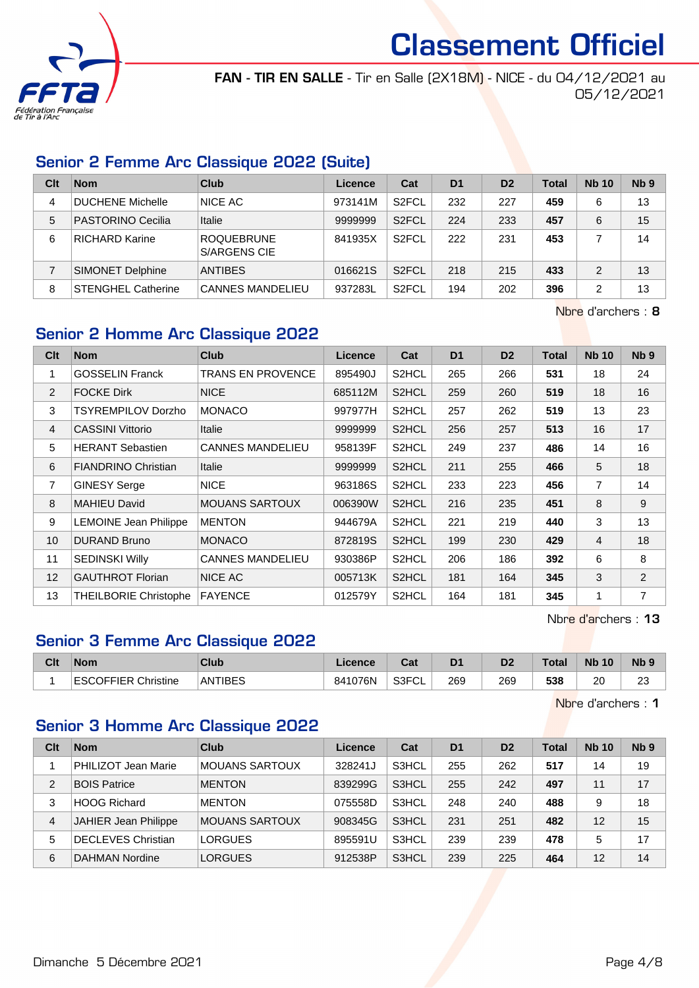

FAN - TIR EN SALLE - Tir en Salle (2X18M) - NICE - du 04/12/2021 au 05/12/2021

# Senior 2 Femme Arc Classique 2022 (Suite)

| Clt | <b>Nom</b>                | Club                              | Licence | Cat                | D <sub>1</sub> | D <sub>2</sub> | Total | <b>Nb 10</b> | Nb <sub>9</sub> |
|-----|---------------------------|-----------------------------------|---------|--------------------|----------------|----------------|-------|--------------|-----------------|
| 4   | DUCHENE Michelle          | <b>NICE AC</b>                    | 973141M | S <sub>2</sub> FCL | 232            | 227            | 459   | 6            | 13              |
| 5   | PASTORINO Cecilia         | Italie                            | 9999999 | S <sub>2</sub> FCL | 224            | 233            | 457   | 6            | 15              |
| 6   | RICHARD Karine            | <b>ROQUEBRUNE</b><br>S/ARGENS CIE | 841935X | S <sub>2</sub> FCL | 222            | 231            | 453   |              | 14              |
|     | <b>SIMONET Delphine</b>   | <b>ANTIBES</b>                    | 016621S | S <sub>2</sub> FCL | 218            | 215            | 433   | 2            | 13              |
| 8   | <b>STENGHEL Catherine</b> | <b>CANNES MANDELIEU</b>           | 937283L | S <sub>2</sub> FCL | 194            | 202            | 396   | 2            | 13              |

Nbre d'archers : 8

# Senior 2 Homme Arc Classique 2022

| Clt            | <b>Nom</b>                   | <b>Club</b>             | <b>Licence</b> | Cat                | D <sub>1</sub> | D <sub>2</sub> | <b>Total</b> | <b>Nb 10</b>   | N <sub>b</sub> <sub>9</sub> |
|----------------|------------------------------|-------------------------|----------------|--------------------|----------------|----------------|--------------|----------------|-----------------------------|
| 1              | <b>GOSSELIN Franck</b>       | TRANS EN PROVENCE       | 895490J        | S <sub>2</sub> HCL | 265            | 266            | 531          | 18             | 24                          |
| 2              | <b>FOCKE Dirk</b>            | <b>NICE</b>             | 685112M        | S2HCL              | 259            | 260            | 519          | 18             | 16                          |
| 3              | TSYREMPILOV Dorzho           | <b>MONACO</b>           | 997977H        | S <sub>2</sub> HCL | 257            | 262            | 519          | 13             | 23                          |
| $\overline{4}$ | <b>CASSINI Vittorio</b>      | <b>Italie</b>           | 9999999        | S2HCL              | 256            | 257            | 513          | 16             | 17                          |
| 5              | <b>HERANT Sebastien</b>      | <b>CANNES MANDELIEU</b> | 958139F        | S2HCL              | 249            | 237            | 486          | 14             | 16                          |
| 6              | <b>FIANDRINO Christian</b>   | Italie                  | 9999999        | S2HCL              | 211            | 255            | 466          | 5              | 18                          |
| 7              | <b>GINESY Serge</b>          | <b>NICE</b>             | 963186S        | S2HCL              | 233            | 223            | 456          | $\overline{7}$ | 14                          |
| 8              | <b>MAHIEU David</b>          | <b>MOUANS SARTOUX</b>   | 006390W        | S2HCL              | 216            | 235            | 451          | 8              | 9                           |
| 9              | <b>LEMOINE Jean Philippe</b> | <b>MENTON</b>           | 944679A        | S <sub>2</sub> HCL | 221            | 219            | 440          | 3              | 13                          |
| 10             | <b>DURAND Bruno</b>          | <b>MONACO</b>           | 872819S        | S2HCL              | 199            | 230            | 429          | $\overline{4}$ | 18                          |
| 11             | <b>SEDINSKI Willy</b>        | <b>CANNES MANDELIEU</b> | 930386P        | S2HCL              | 206            | 186            | 392          | 6              | 8                           |
| 12             | <b>GAUTHROT Florian</b>      | NICE AC                 | 005713K        | S2HCL              | 181            | 164            | 345          | 3              | 2                           |
| 13             | <b>THEILBORIE Christophe</b> | <b>FAYENCE</b>          | 012579Y        | S <sub>2</sub> HCL | 164            | 181            | 345          | $\mathbf 1$    | $\overline{7}$              |

Nbre d'archers : 13

# Senior 3 Femme Arc Classique 2022

| Clt | <b>Nom</b>                 | Club    | Licence | ⊶ ∼<br>ua   | D <sub>1</sub> | ng. | Total | <b>Nb 10</b> | Nb <sub>9</sub> |
|-----|----------------------------|---------|---------|-------------|----------------|-----|-------|--------------|-----------------|
|     | <b>ESCOFFIER Christine</b> | ANTIBES | 841076N | S3FCI<br>◡∟ | 269            | 269 | 538   | 20           | $\sim$<br>ںے    |

Nbre d'archers : 1

# Senior 3 Homme Arc Classique 2022

| Clt | <b>Nom</b>                  | Club                  | Licence | Cat   | D <sub>1</sub> | D <sub>2</sub> | Total | <b>Nb 10</b> | Nb <sub>9</sub> |
|-----|-----------------------------|-----------------------|---------|-------|----------------|----------------|-------|--------------|-----------------|
|     | PHILIZOT Jean Marie         | <b>MOUANS SARTOUX</b> | 328241J | S3HCL | 255            | 262            | 517   | 14           | 19              |
| 2   | <b>BOIS Patrice</b>         | <b>MENTON</b>         | 839299G | S3HCL | 255            | 242            | 497   | 11           | 17              |
| 3   | <b>HOOG Richard</b>         | <b>MENTON</b>         | 075558D | S3HCL | 248            | 240            | 488   | 9            | 18              |
| 4   | <b>JAHIER Jean Philippe</b> | <b>MOUANS SARTOUX</b> | 908345G | S3HCL | 231            | 251            | 482   | 12           | 15              |
| 5   | <b>DECLEVES Christian</b>   | <b>LORGUES</b>        | 895591U | S3HCL | 239            | 239            | 478   | 5            | 17              |
| 6   | DAHMAN Nordine              | <b>LORGUES</b>        | 912538P | S3HCL | 239            | 225            | 464   | 12           | 14              |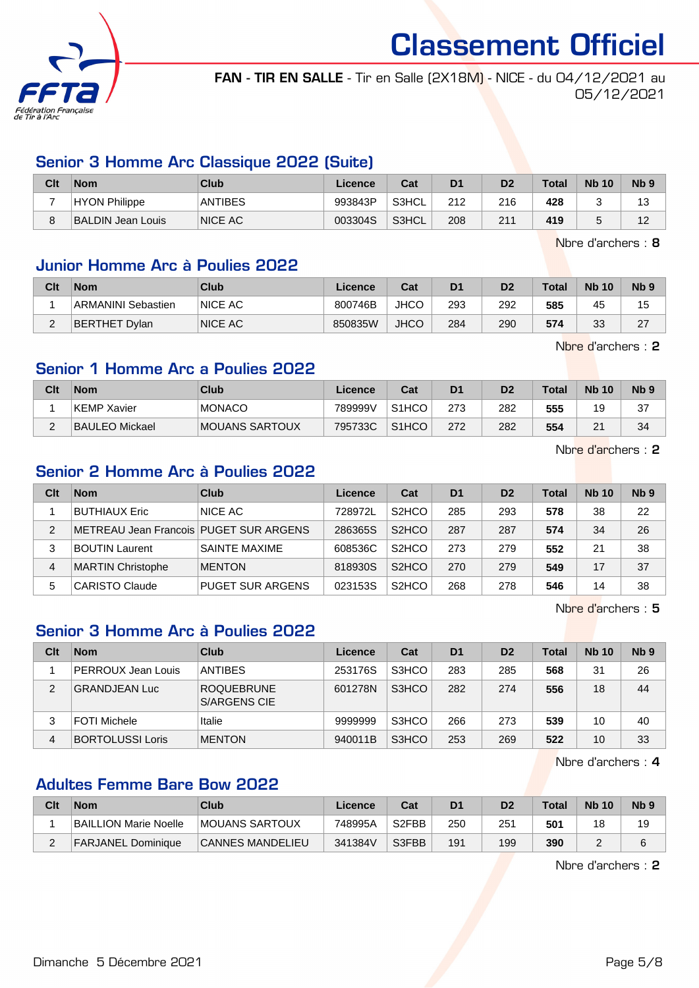

FAN - TIR EN SALLE - Tir en Salle (2X18M) - NICE - du 04/12/2021 au 05/12/2021

# Senior 3 Homme Arc Classique 2022 (Suite)

| Clt | <b>Nom</b>           | Club           | Licence | Cat   | D <sub>1</sub> | D2  | <b>Total</b> | <b>Nb 10</b> | Nb <sub>9</sub> |
|-----|----------------------|----------------|---------|-------|----------------|-----|--------------|--------------|-----------------|
|     | <b>HYON Philippe</b> | <b>ANTIBES</b> | 993843P | S3HCL | 212            | 216 | 428          |              | 13              |
|     | BALDIN Jean Louis    | <b>NICE AC</b> | 003304S | S3HCL | 208            | 211 | 419          |              | 12              |

Nbre d'archers : 8

## Junior Homme Arc à Poulies 2022

| Clt    | <b>Nom</b>                | Club           | Licence | Cat         | D1  | D <sub>2</sub> | <b>Total</b> | <b>Nb 10</b> | N <sub>b</sub> <sub>9</sub> |
|--------|---------------------------|----------------|---------|-------------|-----|----------------|--------------|--------------|-----------------------------|
|        | <b>ARMANINI Sebastien</b> | <b>NICE AC</b> | 800746B | <b>JHCO</b> | 293 | 292            | 585          | 45           | 15                          |
| $\sim$ | BERTHET Dvlan             | <b>NICE AC</b> | 850835W | JHCO        | 284 | 290            | 574          | วว<br>تٽ     | 27<br><u>_</u>              |

Nbre d'archers : 2

## Senior 1 Homme Arc a Poulies 2022

| Clt | <b>Nom</b>         | Club           | $\mathcal{L}$ icence | Cat                | D <sub>1</sub> | D <sub>2</sub> | Total | <b>Nb 10</b>   | N <sub>b</sub> <sub>9</sub> |
|-----|--------------------|----------------|----------------------|--------------------|----------------|----------------|-------|----------------|-----------------------------|
|     | <b>KEMP Xavier</b> | <b>MONACO</b>  | 789999V              | S <sub>1</sub> HCO | 273            | 282            | 555   | 19             | 37                          |
| -   | BAULEO Mickael     | MOUANS SARTOUX | 795733C              | S <sub>1</sub> HCO | 272            | 282            | 554   | n,<br><u>_</u> | 34                          |

Nbre d'archers : 2

## Senior 2 Homme Arc à Poulies 2022

| Clt | <b>Nom</b>                               | Club                    | Licence | Cat                            | D <sub>1</sub> | D <sub>2</sub> | <b>Total</b> | <b>Nb 10</b> | Nb <sub>9</sub> |
|-----|------------------------------------------|-------------------------|---------|--------------------------------|----------------|----------------|--------------|--------------|-----------------|
|     | BUTHIAUX Eric                            | NICE AC                 | 728972L | S <sub>2</sub> HCO             | 285            | 293            | 578          | 38           | 22              |
| 2   | METREAU Jean Francois   PUGET SUR ARGENS |                         | 286365S | S <sub>2</sub> H <sub>CO</sub> | 287            | 287            | 574          | 34           | 26              |
| 3   | <b>BOUTIN Laurent</b>                    | <b>SAINTE MAXIME</b>    | 608536C | S <sub>2</sub> H <sub>CO</sub> | 273            | 279            | 552          | 21           | 38              |
| 4   | <b>MARTIN Christophe</b>                 | <b>MENTON</b>           | 818930S | S <sub>2</sub> HCO             | 270            | 279            | 549          | 17           | 37              |
| 5   | CARISTO Claude                           | <b>PUGET SUR ARGENS</b> | 023153S | S <sub>2</sub> HCO             | 268            | 278            | 546          | 14           | 38              |

Nbre d'archers : 5

# Senior 3 Homme Arc à Poulies 2022

| Clt | <b>Nom</b>              | Club                              | Licence | Cat   | D <sub>1</sub> | D <sub>2</sub> | Total | <b>Nb 10</b> | Nb <sub>9</sub> |
|-----|-------------------------|-----------------------------------|---------|-------|----------------|----------------|-------|--------------|-----------------|
|     | PERROUX Jean Louis      | <b>ANTIBES</b>                    | 253176S | S3HCO | 283            | 285            | 568   | 31           | 26              |
| 2   | <b>GRANDJEAN Luc</b>    | ROQUEBRUNE<br><b>S/ARGENS CIE</b> | 601278N | S3HCO | 282            | 274            | 556   | 18           | 44              |
| 3   | FOTI Michele            | Italie                            | 9999999 | S3HCO | 266            | 273            | 539   | 10           | 40              |
| 4   | <b>BORTOLUSSI Loris</b> | <b>MENTON</b>                     | 940011B | S3HCO | 253            | 269            | 522   | 10           | 33              |

Nbre d'archers : 4

# Adultes Femme Bare Bow 2022

| Clt | <b>Nom</b>                | Club                    | Licence | Cat                | D <sub>1</sub> | D <sub>2</sub> | <b>Total</b> | <b>Nb 10</b> | Nb <sub>9</sub> |
|-----|---------------------------|-------------------------|---------|--------------------|----------------|----------------|--------------|--------------|-----------------|
|     | BAILLION Marie Noelle     | <b>IMOUANS SARTOUX</b>  | 748995A | S <sub>2</sub> FBB | 250            | 251            | 501          | 18           | 19              |
| -   | <b>FARJANEL Dominique</b> | <b>CANNES MANDELIEU</b> | 341384V | S3FBB              | 191            | 199            | 390          |              |                 |

Nbre d'archers : 2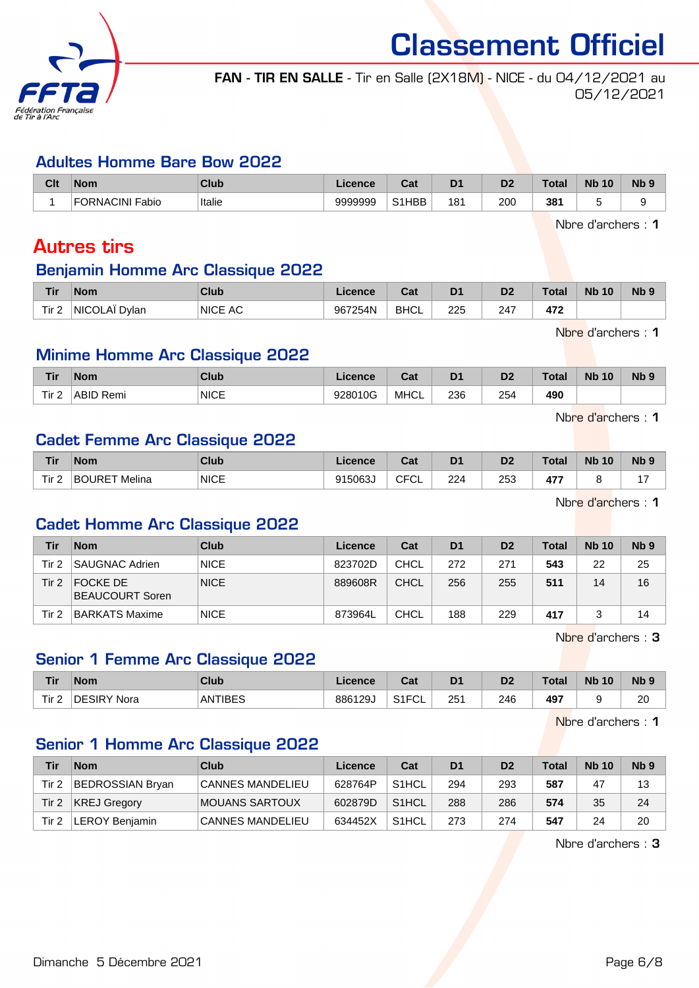

# FAN - TIR EN SALLE - Tir en Salle (2X18M) - NICE - du 04/12/2021 au 05/12/2021

#### Adultes Homme Bare Bow 2022

| Clt | <b>Nom</b>                | <b>Club</b> | Licence | $R_{\rm eff}$<br>⊍d | D <sup>1</sup> | D <sub>2</sub> | Tota. | <b>N<sub>b</sub></b><br>10 | N <sub>b</sub> <sub>9</sub> |
|-----|---------------------------|-------------|---------|---------------------|----------------|----------------|-------|----------------------------|-----------------------------|
|     | <b>FORNACINI</b><br>Fabio | Italie      | 9999999 | S1HBB               | 18′            | 200            | 381   |                            |                             |

Nbre d'archers : 1

# Autres tirs

# Benjamin Homme Arc Classique 2022

| Tir              | <b>Nom</b>    | Club           | Licence | $\sim$<br>sal | D <sub>1</sub> | D <sub>2</sub> | <b>Total</b> | <b>Nb 10</b> | N <sub>b</sub> 9 |
|------------------|---------------|----------------|---------|---------------|----------------|----------------|--------------|--------------|------------------|
| Tir <sub>2</sub> | NICOLAÏ Dylan | <b>NICE AC</b> | 967254N | <b>BHCL</b>   | 225            | 247            | 472          |              |                  |

Nbre d'archers : 1

# Minime Homme Arc Classique 2022

| <b>Tir</b>       | <b>Nom</b>   | Club                | icence      | ่∩ำง<br><b>Sa</b> | D <sub>1</sub> | D <sub>2</sub> | <b>Total</b> | <b>Nb</b><br>10 | <b>Nb</b> |
|------------------|--------------|---------------------|-------------|-------------------|----------------|----------------|--------------|-----------------|-----------|
| Tir <sub>2</sub> | ABID<br>Remi | <b>NICE</b><br>____ | 10G<br>228V | <b>MHCL</b>       | 236<br>__      | 254<br>$\sim$  | 490          |                 |           |

Nbre d'archers : 1

## Cadet Femme Arc Classique 2022

| Tir                   | <b>Nom</b>    | <b>Club</b>          | Licence | ่ ี่ ี่ ่า ่<br>⊍a | D <sub>1</sub> | D <sub>2</sub> | Total              | <b>N<sub>b</sub></b><br>10 | <b>Nb</b> |
|-----------------------|---------------|----------------------|---------|--------------------|----------------|----------------|--------------------|----------------------------|-----------|
| Tir <sub>2</sub><br>- | BOURET Melina | <b>NICE</b><br>_____ | 915063J | $\cap$<br>ั∪∟<br>◡ | 224            | 253<br>__      | $\overline{a}$<br> |                            |           |

Nbre d'archers : 1

# Cadet Homme Arc Classique 2022

| Tir      | <b>Nom</b>                  | <b>Club</b> | Licence | Cat         | D <sub>1</sub> | D <sub>2</sub> | Total | <b>Nb 10</b> | Nb <sub>9</sub> |
|----------|-----------------------------|-------------|---------|-------------|----------------|----------------|-------|--------------|-----------------|
| Tir 2    | SAUGNAC Adrien              | <b>NICE</b> | 823702D | <b>CHCL</b> | 272            | 271            | 543   | 22           | 25              |
| Tir $21$ | FOCKE DE<br>BEAUCOURT Soren | <b>NICE</b> | 889608R | <b>CHCL</b> | 256            | 255            | 511   | 14           | 16              |
| Tir 2    | BARKATS Maxime              | <b>NICE</b> | 873964L | <b>CHCL</b> | 188            | 229            | 417   |              | 14              |

Nbre d'archers : 3

# Senior 1 Femme Arc Classique 2022

| <b>Tir</b> | <b>Nom</b>  | Club    | Licence | <b>Take</b><br>⊍તા       | D <sub>1</sub> | D <sub>2</sub> | Total | <b>N<sub>b</sub></b><br>10 | N <sub>b</sub> 9 |
|------------|-------------|---------|---------|--------------------------|----------------|----------------|-------|----------------------------|------------------|
| Tir 2      | DESIRY Nora | ANTIBES | 886129  | S <sub>1</sub> FCI<br>◡∟ | 251<br>$\sim$  | 246<br>__      | 497   |                            | 20<br>__         |

Nbre d'archers : 1

## Senior 1 Homme Arc Classique 2022

| Tir   | <b>Nom</b>          | Club                    | Licence | Cat                | D <sub>1</sub> | D <sub>2</sub> | Total | <b>Nb 10</b> | N <sub>b</sub> <sub>9</sub> |
|-------|---------------------|-------------------------|---------|--------------------|----------------|----------------|-------|--------------|-----------------------------|
| Tir 2 | BEDROSSIAN Bryan    | <b>CANNES MANDELIEU</b> | 628764P | S <sub>1</sub> HCL | 294            | 293            | 587   | 47           | 13                          |
| Tir 2 | <b>KREJ Gregory</b> | MOUANS SARTOUX          | 602879D | S <sub>1</sub> HCL | 288            | 286            | 574   | 35           | 24                          |
| Tir 2 | LEROY Beniamin      | <b>CANNES MANDELIEU</b> | 634452X | S <sub>1</sub> HCL | 273            | 274            | 547   | 24           | 20                          |

Nbre d'archers : 3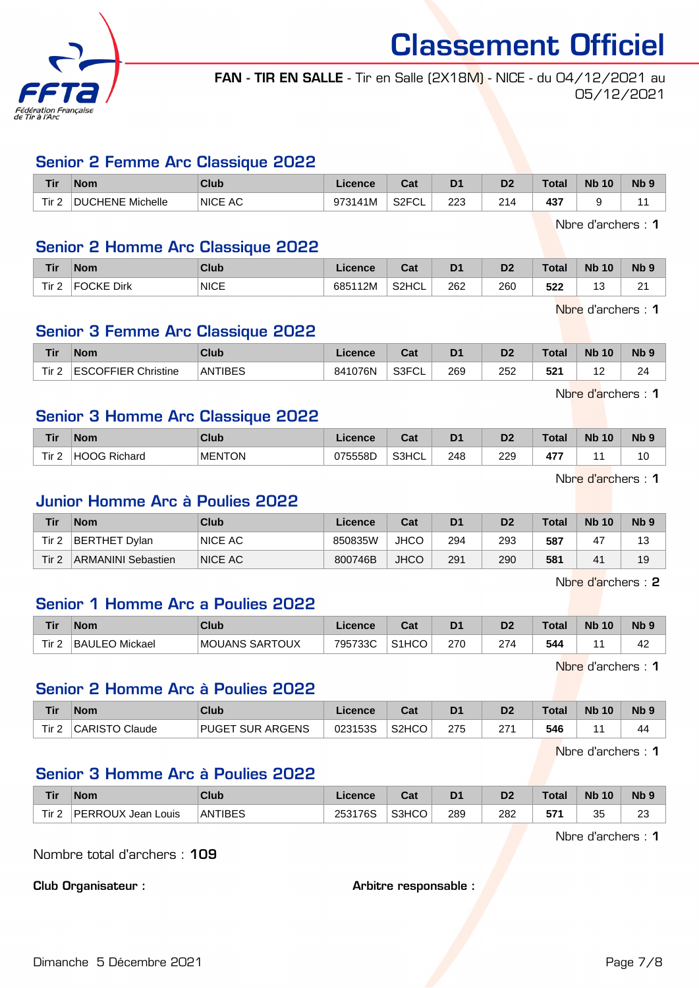

FAN - TIR EN SALLE - Tir en Salle (2X18M) - NICE - du 04/12/2021 au 05/12/2021

#### Senior 2 Femme Arc Classique 2022

| <b>Tir</b>                   | <b>Nom</b>                 | Club           | Licence | ົີີ່<br>uau               | D <sub>1</sub> | D <sub>2</sub> | <b>Total</b> | <b>Nb</b><br>10 | N <sub>b</sub> <sub>9</sub> |
|------------------------------|----------------------------|----------------|---------|---------------------------|----------------|----------------|--------------|-----------------|-----------------------------|
| Tir <sub>2</sub><br><u>L</u> | <b>DUCHENE</b><br>Michelle | <b>NICE AC</b> | 973141M | S <sub>2</sub> FCL<br>∵∪∟ | າາາ<br>۷       | ∩⊿.<br>20      | 437          |                 |                             |

Nbre d'archers : 1

# Senior 2 Homme Arc Classique 2022

| <b>Tir</b>       | <b>Nom</b>                                                                                                                                                                                                                                                                                                                                                                                   | <b>Club</b> | <b>Licence</b> | $\sim$<br>ual      | D <sub>1</sub> | D2  | <b>Total</b> | <b>Nb 10</b>  | Nb 9        |
|------------------|----------------------------------------------------------------------------------------------------------------------------------------------------------------------------------------------------------------------------------------------------------------------------------------------------------------------------------------------------------------------------------------------|-------------|----------------|--------------------|----------------|-----|--------------|---------------|-------------|
| Tir <sub>2</sub> | $\overline{C}$ $\overline{C}$ $\overline{C}$ $\overline{C}$ $\overline{C}$ $\overline{C}$ $\overline{C}$ $\overline{C}$ $\overline{C}$ $\overline{C}$ $\overline{C}$ $\overline{C}$ $\overline{C}$ $\overline{C}$ $\overline{C}$ $\overline{C}$ $\overline{C}$ $\overline{C}$ $\overline{C}$ $\overline{C}$ $\overline{C}$ $\overline{C}$ $\overline{C}$ $\overline{C}$ $\overline{$<br>Dirk | <b>NICE</b> | 685112M        | S <sub>2</sub> HCL | 262            | 260 | につつ<br>32Z   | $\sim$<br>. J | $\sim$<br>- |

Nbre d'archers : 1

# Senior 3 Femme Arc Classique 2022

| <b>Tir</b> | 'Nom                        | <b>Club</b> | icence  | ו ה<br>uai  | D <sub>1</sub> | D <sub>2</sub>       | <b>Total</b> | <b>Nb</b><br>10 | <b>Nb</b> |
|------------|-----------------------------|-------------|---------|-------------|----------------|----------------------|--------------|-----------------|-----------|
| Tir 2      | <b>COFFIER</b><br>Christine | ANTIBES     | 841076N | S3FCI<br>◡∟ | 269            | 252<br>$\sim$ $\sim$ | 504<br>-54   |                 | 24        |

Nbre d'archers : 1

## Senior 3 Homme Arc Classique 2022

| Tir              | <b>Nom</b>          | <b>Club</b>   | <b>Licence</b> | $\sim$<br>⊍a | D1  | D2  | Total                | <b>Nb</b><br>10 | Nb ? |
|------------------|---------------------|---------------|----------------|--------------|-----|-----|----------------------|-----------------|------|
| Tir.<br><u>L</u> | <b>HOOG Richard</b> | <b>MENTON</b> | 075558D        | S3HCL        | 248 | 229 | $-1$<br>$\mathbf{a}$ |                 | 10   |

Nbre d'archers : 1

#### Junior Homme Arc à Poulies 2022

| Tir              | <b>Nom</b>         | Club    | Licence | Cat         | D <sub>1</sub> | D2  | <b>Total</b> | <b>Nb 10</b> | N <sub>b</sub> <sub>9</sub> |
|------------------|--------------------|---------|---------|-------------|----------------|-----|--------------|--------------|-----------------------------|
| Tir 2            | BERTHET Dylan      | NICE AC | 850835W | <b>JHCO</b> | 294            | 293 | 587          | 47           |                             |
| Tir <sub>2</sub> | ARMANINI Sebastien | NICE AC | 800746B | <b>JHCO</b> | 291            | 290 | 581          | 41           | 19                          |

Nbre d'archers : 2

## Senior 1 Homme Arc a Poulies 2022

| <b>Tir</b> | <b>Nom</b>     | Club                   | Licence | Cat                | D <sub>1</sub> | D <sub>2</sub> | <b>Total</b> | <b>N<sub>b</sub></b><br>10 <sup>°</sup> | N <sub>b</sub> <sub>9</sub> |
|------------|----------------|------------------------|---------|--------------------|----------------|----------------|--------------|-----------------------------------------|-----------------------------|
| Tir 2      | BAULEO Mickael | <b>IMOUANS SARTOUX</b> | 795733C | S <sub>1</sub> HCO | 270            | 274            | 544          |                                         | 42                          |

Nbre d'archers : 1

# Senior 2 Homme Arc à Poulies 2022

| <b>Tir</b> | <b>Nom</b>            | <b>Club</b>                       | Licence | $\sim$<br>Jar      | D <sub>1</sub> | D <sub>2</sub> | <b>Total</b> | <b>N<sub>b</sub></b><br>10 | N <sub>b</sub> <sub>9</sub> |
|------------|-----------------------|-----------------------------------|---------|--------------------|----------------|----------------|--------------|----------------------------|-----------------------------|
| Tir $2$    | <b>CARISTO Claude</b> | <b>SUR ARGENS</b><br><b>PUGET</b> | 023153S | S <sub>2</sub> HCO | 275            | 274<br>ے       | 546          |                            | 44                          |

Nbre d'archers : 1

# Senior 3 Homme Arc à Poulies 2022

| <b>Tir</b> | <b>Nom</b>               | <b>Club</b> | Licence | r.,<br>ual | D <sub>1</sub> | D <sub>0</sub><br>ש | <b>Total</b>       | <b>N<sub>b</sub></b><br>10 | <b>Nb</b>    |
|------------|--------------------------|-------------|---------|------------|----------------|---------------------|--------------------|----------------------------|--------------|
| Tir 2      | PERROUX<br>Louis<br>Jean | ANTIBES     | 253176S | S3HCO      | 289            | 282<br>$-$          | ет.<br><br>. J / L | 2F<br>JJ.                  | $\sim$<br>∠∪ |

Nbre d'archers : 1

Nombre total d'archers : 109

Club Organisateur :  $\qquad \qquad \qquad$  Arbitre responsable :